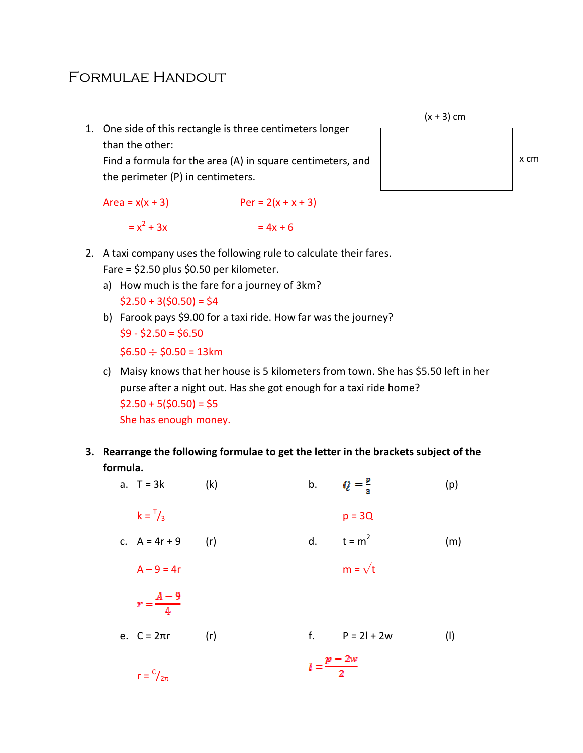## Formulae Handout

1. One side of this rectangle is three centimeters longer than the other:

Find a formula for the area (A) in square centimeters, and the perimeter (P) in centimeters.

```
Area = x(x + 3) Per = 2(x + x + 3)
= x^2 + 3x= 4x + 6
```


- 2. A taxi company uses the following rule to calculate their fares. Fare = \$2.50 plus \$0.50 per kilometer.
	- a) How much is the fare for a journey of 3km?  $$2.50 + 3(50.50) = $4$
	- b) Farook pays \$9.00 for a taxi ride. How far was the journey?  $$9 - $2.50 = $6.50$

 $$6.50 \div $0.50 = 13$ km

- c) Maisy knows that her house is 5 kilometers from town. She has \$5.50 left in her purse after a night out. Has she got enough for a taxi ride home?  $$2.50 + 5({$0.50}) = $5$ She has enough money.
- 3. Rearrange the following formulae to get the letter in the brackets subject of the formula.
- a. T = 3k (k) b.  $Q = \frac{p}{3}$  (p)  $k = \frac{1}{2}$  $p = 3Q$ c.  $A = 4r + 9$  (r) d.  $t = m^2$  (m)  $A - 9 = 4r$  m =  $\sqrt{t}$  $r = \frac{A-9}{4}$ e.  $C = 2\pi r$  (r) f.  $P = 2l + 2w$  (l)  $l=\frac{p-2w}{2}$  $r = \frac{c}{2\pi}$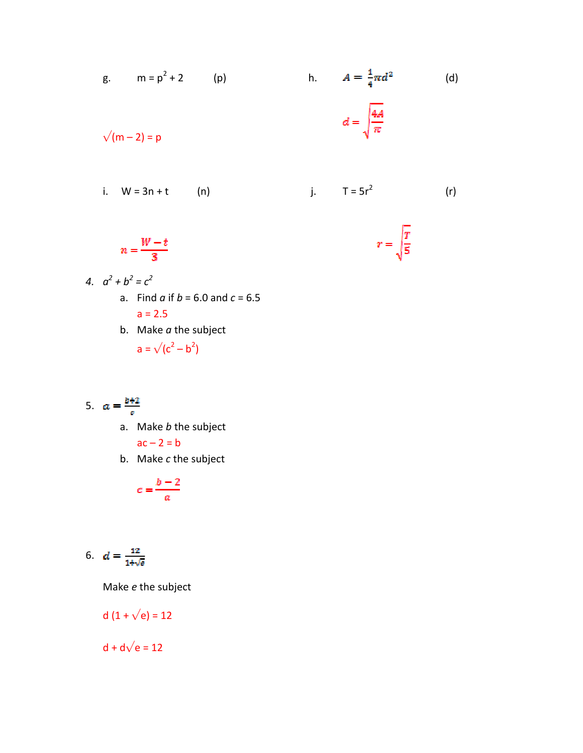g. 
$$
m = p^2 + 2
$$
 (p)   
h.  $A = \frac{1}{4}\pi d^2$  (d)  
  
 $d = \sqrt{\frac{4A}{\pi}}$   
i.  $W = 3n + t$  (n)   
j.  $T = 5r^2$  (r)

 $r = \sqrt{\frac{T}{5}}$ 

$$
n=\frac{W-t}{3}
$$

$$
a^2 + b^2 = c^2
$$
  
a. Find *a* if *b* = 6.0 and *c* = 6.5  
a = 2.5

b. Make  $a$  the subject  $a = \sqrt{(c^2 - b^2)}$ 

$$
5. \quad a = \frac{b+2}{c}
$$

 $\overline{4}$ .

- a. Make *b* the subject  $ac - 2 = b$
- b. Make c the subject

$$
c=\frac{b-2}{a}
$$

$$
6. \quad d = \frac{12}{1+\sqrt{a}}
$$

Make e the subject

d 
$$
(1 + \sqrt{e}) = 12
$$

 $d + d√e = 12$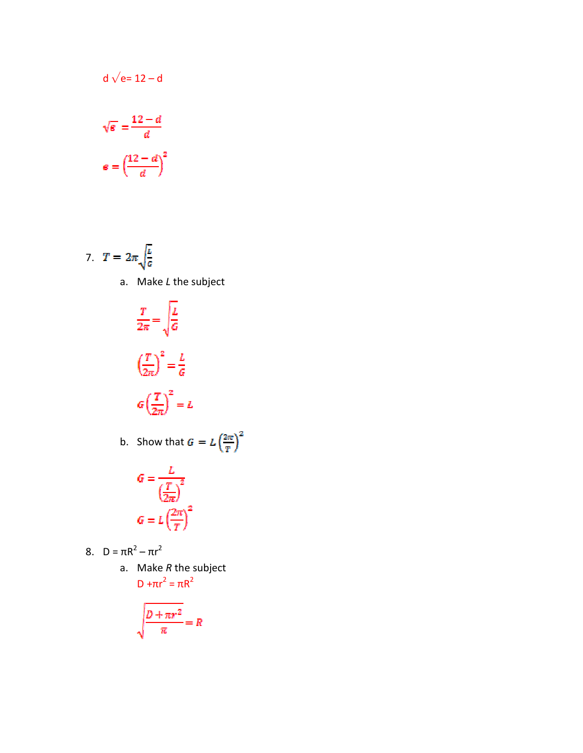$$
\sqrt{e} = \frac{12 - d}{d}
$$

$$
e = \left(\frac{12 - d}{d}\right)^2
$$

d  $\sqrt{e}$ = 12 – d

7. 
$$
T = 2\pi \sqrt{\frac{L}{c}}
$$
  
a. Make *L* the subject

$$
\frac{T}{2\pi} = \sqrt{\frac{L}{G}}
$$

$$
\left(\frac{T}{2\pi}\right)^2 = \frac{L}{G}
$$

$$
G\left(\frac{T}{2\pi}\right)^2 = L
$$
  
b. Show that  $G = L\left(\frac{2\pi}{T}\right)^2$ 

$$
G = \frac{L}{\left(\frac{T}{2\pi}\right)^2}
$$

$$
G = L\left(\frac{2\pi}{T}\right)^2
$$

8. 
$$
D = \pi R^2 - \pi r^2
$$

a. Make  $R$  the subject  $D + \pi r^2 = \pi R^2$ 

$$
\sqrt{\frac{D + \pi r^2}{\pi}} = R
$$